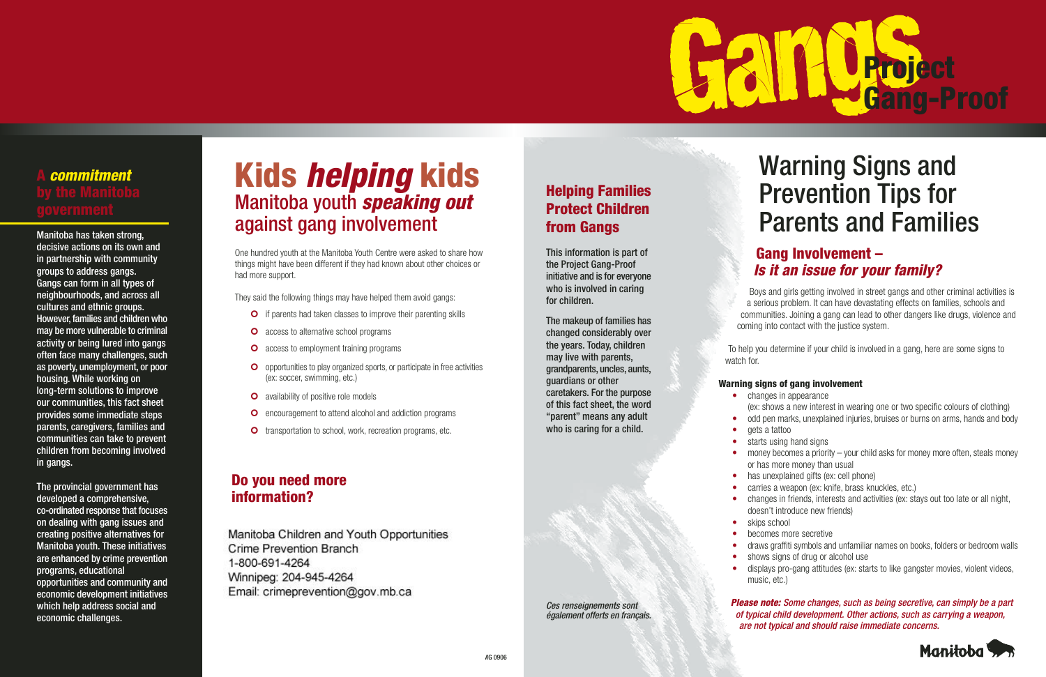#### **Gang Involvement – Is it an issue for your family?**

Boys and girls getting involved in street gangs and other criminal activities is a serious problem. It can have devastating effects on families, schools and communities. Joining a gang can lead to other dangers like drugs, violence and coming into contact with the justice system.

To help you determine if your child is involved in a gang, here are some signs to

watch for.

#### **Warning signs of gang involvement**

- changes in appearance
- (ex: shows a new interest in wearing one or two specific colours of clothing) • odd pen marks, unexplained injuries, bruises or burns on arms, hands and body gets a tattoo
	- starts using hand signs
	- money becomes a priority your child asks for money more often, steals money or has more money than usual
- has unexplained gifts (ex: cell phone)
- carries a weapon (ex: knife, brass knuckles, etc.)
- changes in friends, interests and activities (ex: stays out too late or all night,
- doesn't introduce new friends)
- skips school
- becomes more secretive
- 
- 
- ••
- •
- 
- •
- •
- •
- •
- •
- • draws graffiti symbols and unfamiliar names on books, folders or bedroom walls •shows signs of drug or alcohol use
- 
- displays pro-gang attitudes (ex: starts to like gangster movies, violent videos, music, etc.)

•

#### **Please note:** *Some changes, such as being secretive, can simply be a part of typical child development. Other actions, such as carrying a weapon, are not typical and should raise immediate concerns.*



## *Warning Signs and Prevention Tips for Parents and Families*

# **Project Gang-Proof**

### **Helping Families Protect Children from Gangs**

*This information is part of the Project Gang-Proof initiative and is for everyone who is involved in caring for children.*

*The makeup of families has changed considerably over the years. Today, children may live with parents, grandparents, uncles, aunts, guardians or other caretakers. For the purpose of this fact sheet, the word "parent" means any adult who is caring for a child.*



*Ces renseignements sont également offerts en français.*

### **Kids helping kids** *Manitoba youth* **speaking out** *against gang involvement*

One hundred youth at the Manitoba Youth Centre were asked to share how things might have been different if they had known about other choices or had more support.

They said the following things may have helped them avoid gangs:

- **O** if parents had taken classes to improve their parenting skills
- **O** access to alternative school programs
- **O** access to employment training programs
- | opportunities to play organized sports, or participate in free activities (ex: soccer, swimming, etc.)
- **O** availability of positive role models
- **O** encouragement to attend alcohol and addiction programs
- **O** transportation to school, work, recreation programs, etc.

#### **Do you need more information?**

**Manitoba Children and Youth Opportunities** *Crime Prevention Branch* 1-800-691-4264 Winnipeg: 204-945-4264 ail: orimonre

 $\mathbf{C}$ 



## **A commitment**

*Manitoba has taken strong, decisive actions on its own and in partnership with community groups to address gangs. Gangs can form in all types of neighbourhoods, and across all cultures and ethnic groups. However, families and children who may be more vulnerable to criminal activity or being lured into gangs often face many challenges, such as poverty, unemployment, or poor housing. While working on long-term solutions to improve our communities, this fact sheet provides some immediate steps parents, caregivers, families and communities can take to prevent children from becoming involved in gangs.*

*The provincial government has developed a comprehensive, co-ordinated response that focuses on dealing with gang issues and creating positive alternatives for Manitoba youth. These initiatives are enhanced by crime prevention programs, educational opportunities and community and economic development initiatives which help address social and economic challenges.*